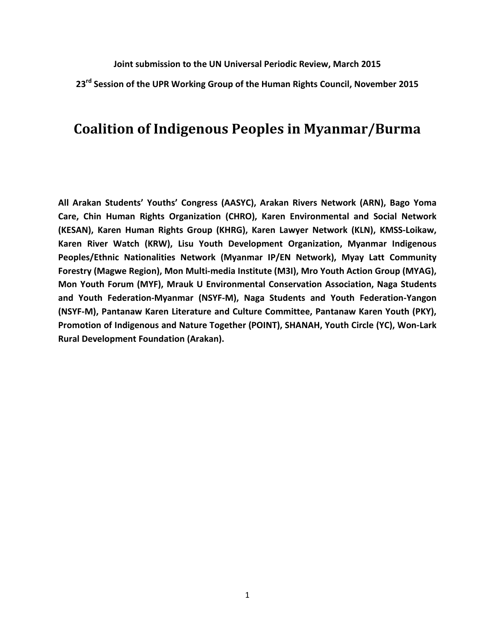**Joint submission to the UN Universal Periodic Review, March 2015** 

**23rd Session of the UPR Working Group of the Human Rights Council, November 2015** 

# **Coalition of Indigenous Peoples in Myanmar/Burma**

**All Arakan Students' Youths' Congress (AASYC), Arakan Rivers Network (ARN), Bago Yoma Care, Chin Human Rights Organization (CHRO), Karen Environmental and Social Network (KESAN), Karen Human Rights Group (KHRG), Karen Lawyer Network (KLN), KMSS-Loikaw, Karen River Watch (KRW), Lisu Youth Development Organization, Myanmar Indigenous Peoples/Ethnic Nationalities Network (Myanmar IP/EN Network), Myay Latt Community Forestry (Magwe Region), Mon Multi-media Institute (M3I), Mro Youth Action Group (MYAG), Mon Youth Forum (MYF), Mrauk U Environmental Conservation Association, Naga Students and Youth Federation-Myanmar (NSYF-M), Naga Students and Youth Federation-Yangon (NSYF-M), Pantanaw Karen Literature and Culture Committee, Pantanaw Karen Youth (PKY), Promotion of Indigenous and Nature Together (POINT), SHANAH, Youth Circle (YC), Won-Lark Rural Development Foundation (Arakan).**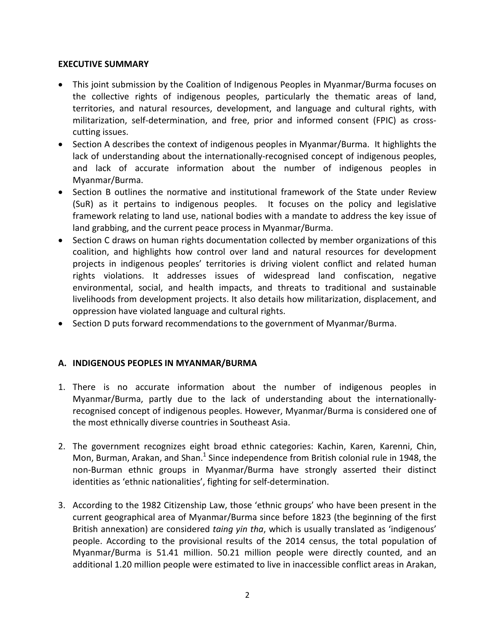### **EXECUTIVE SUMMARY**

- This joint submission by the Coalition of Indigenous Peoples in Myanmar/Burma focuses on the collective rights of indigenous peoples, particularly the thematic areas of land, territories, and natural resources, development, and language and cultural rights, with militarization, self-determination, and free, prior and informed consent (FPIC) as crosscutting issues.
- Section A describes the context of indigenous peoples in Myanmar/Burma. It highlights the lack of understanding about the internationally-recognised concept of indigenous peoples, and lack of accurate information about the number of indigenous peoples in Myanmar/Burma.
- Section B outlines the normative and institutional framework of the State under Review (SuR) as it pertains to indigenous peoples. It focuses on the policy and legislative framework relating to land use, national bodies with a mandate to address the key issue of land grabbing, and the current peace process in Myanmar/Burma.
- Section C draws on human rights documentation collected by member organizations of this coalition, and highlights how control over land and natural resources for development projects in indigenous peoples' territories is driving violent conflict and related human rights violations. It addresses issues of widespread land confiscation, negative environmental, social, and health impacts, and threats to traditional and sustainable livelihoods from development projects. It also details how militarization, displacement, and oppression have violated language and cultural rights.
- Section D puts forward recommendations to the government of Myanmar/Burma.

### **A. INDIGENOUS PEOPLES IN MYANMAR/BURMA**

- 1. There is no accurate information about the number of indigenous peoples in Myanmar/Burma, partly due to the lack of understanding about the internationallyrecognised concept of indigenous peoples. However, Myanmar/Burma is considered one of the most ethnically diverse countries in Southeast Asia.
- 2. The government recognizes eight broad ethnic categories: Kachin, Karen, Karenni, Chin, Mon, Burman, Arakan, and Shan.<sup>1</sup> Since independence from British colonial rule in 1948, the non-Burman ethnic groups in Myanmar/Burma have strongly asserted their distinct identities as 'ethnic nationalities', fighting for self-determination.
- 3. According to the 1982 Citizenship Law, those 'ethnic groups' who have been present in the current geographical area of Myanmar/Burma since before 1823 (the beginning of the first British annexation) are considered *taing yin tha*, which is usually translated as 'indigenous' people. According to the provisional results of the 2014 census, the total population of Myanmar/Burma is 51.41 million. 50.21 million people were directly counted, and an additional 1.20 million people were estimated to live in inaccessible conflict areas in Arakan,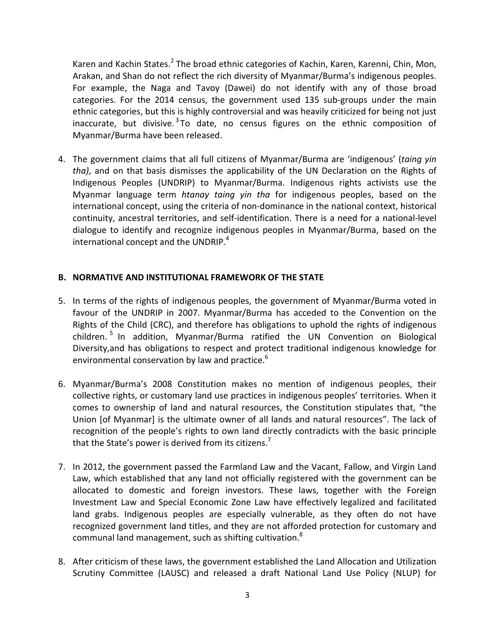Karen and Kachin States.<sup>2</sup> The broad ethnic categories of Kachin, Karen, Karenni, Chin, Mon, Arakan, and Shan do not reflect the rich diversity of Myanmar/Burma's indigenous peoples. For example, the Naga and Tavoy (Dawei) do not identify with any of those broad categories. For the 2014 census, the government used 135 sub-groups under the main ethnic categories, but this is highly controversial and was heavily criticized for being not just inaccurate, but divisive.<sup>3</sup> To date, no census figures on the ethnic composition of Myanmar/Burma have been released.

4. The government claims that all full citizens of Myanmar/Burma are 'indigenous' (*taing yin tha)*, and on that basis dismisses the applicability of the UN Declaration on the Rights of Indigenous Peoples (UNDRIP) to Myanmar/Burma. Indigenous rights activists use the Myanmar language term *htanay taing yin tha* for indigenous peoples, based on the international concept, using the criteria of non-dominance in the national context, historical continuity, ancestral territories, and self-identification. There is a need for a national-level dialogue to identify and recognize indigenous peoples in Myanmar/Burma, based on the international concept and the UNDRIP. $4$ 

### **B. NORMATIVE AND INSTITUTIONAL FRAMEWORK OF THE STATE**

- 5. In terms of the rights of indigenous peoples, the government of Myanmar/Burma voted in favour of the UNDRIP in 2007. Myanmar/Burma has acceded to the Convention on the Rights of the Child (CRC), and therefore has obligations to uphold the rights of indigenous children. <sup>5</sup> In addition, Myanmar/Burma ratified the UN Convention on Biological Diversity,and has obligations to respect and protect traditional indigenous knowledge for environmental conservation by law and practice. $6\overline{6}$
- 6. Myanmar/Burma's 2008 Constitution makes no mention of indigenous peoples, their collective rights, or customary land use practices in indigenous peoples' territories. When it comes to ownership of land and natural resources, the Constitution stipulates that, "the Union [of Myanmar] is the ultimate owner of all lands and natural resources". The lack of recognition of the people's rights to own land directly contradicts with the basic principle that the State's power is derived from its citizens.<sup>7</sup>
- 7. In 2012, the government passed the Farmland Law and the Vacant, Fallow, and Virgin Land Law, which established that any land not officially registered with the government can be allocated to domestic and foreign investors. These laws, together with the Foreign Investment Law and Special Economic Zone Law have effectively legalized and facilitated land grabs. Indigenous peoples are especially vulnerable, as they often do not have recognized government land titles, and they are not afforded protection for customary and communal land management, such as shifting cultivation.<sup>8</sup>
- 8. After criticism of these laws, the government established the Land Allocation and Utilization Scrutiny Committee (LAUSC) and released a draft National Land Use Policy (NLUP) for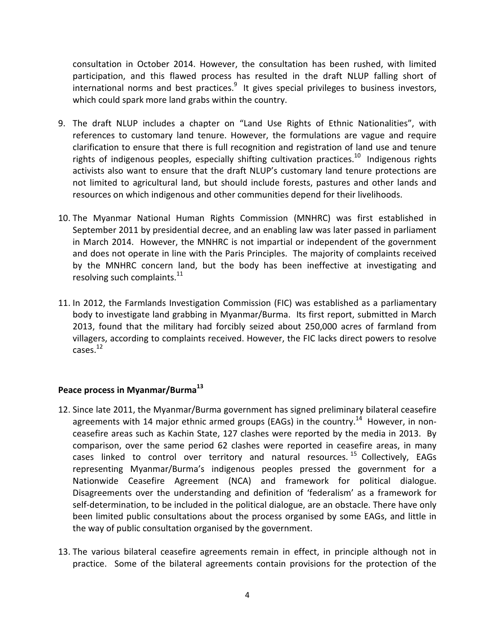consultation in October 2014. However, the consultation has been rushed, with limited participation, and this flawed process has resulted in the draft NLUP falling short of international norms and best practices.<sup>9</sup> It gives special privileges to business investors, which could spark more land grabs within the country.

- 9. The draft NLUP includes a chapter on "Land Use Rights of Ethnic Nationalities", with references to customary land tenure. However, the formulations are vague and require clarification to ensure that there is full recognition and registration of land use and tenure rights of indigenous peoples, especially shifting cultivation practices.<sup>10</sup> Indigenous rights activists also want to ensure that the draft NLUP's customary land tenure protections are not limited to agricultural land, but should include forests, pastures and other lands and resources on which indigenous and other communities depend for their livelihoods.
- 10. The Myanmar National Human Rights Commission (MNHRC) was first established in September 2011 by presidential decree, and an enabling law was later passed in parliament in March 2014. However, the MNHRC is not impartial or independent of the government and does not operate in line with the Paris Principles. The majority of complaints received by the MNHRC concern land, but the body has been ineffective at investigating and resolving such complaints. $^{11}$
- 11. In 2012, the Farmlands Investigation Commission (FIC) was established as a parliamentary body to investigate land grabbing in Myanmar/Burma. Its first report, submitted in March 2013, found that the military had forcibly seized about 250,000 acres of farmland from villagers, according to complaints received. However, the FIC lacks direct powers to resolve  $\text{cases.}^{12}$

### **Peace process in Myanmar/Burma<sup>13</sup>**

- 12. Since late 2011, the Myanmar/Burma government has signed preliminary bilateral ceasefire agreements with 14 major ethnic armed groups (EAGs) in the country.<sup>14</sup> However, in nonceasefire areas such as Kachin State, 127 clashes were reported by the media in 2013. By comparison, over the same period 62 clashes were reported in ceasefire areas, in many cases linked to control over territory and natural resources. <sup>15</sup> Collectively, EAGs representing Myanmar/Burma's indigenous peoples pressed the government for a Nationwide Ceasefire Agreement (NCA) and framework for political dialogue. Disagreements over the understanding and definition of 'federalism' as a framework for self-determination, to be included in the political dialogue, are an obstacle. There have only been limited public consultations about the process organised by some EAGs, and little in the way of public consultation organised by the government.
- 13. The various bilateral ceasefire agreements remain in effect, in principle although not in practice. Some of the bilateral agreements contain provisions for the protection of the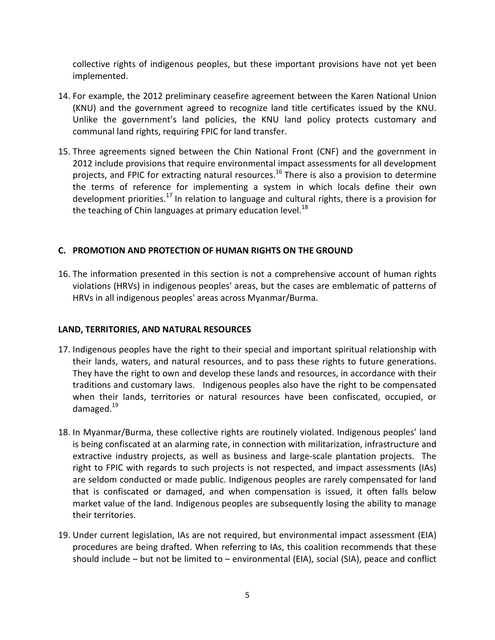collective rights of indigenous peoples, but these important provisions have not yet been implemented.

- 14. For example, the 2012 preliminary ceasefire agreement between the Karen National Union (KNU) and the government agreed to recognize land title certificates issued by the KNU. Unlike the government's land policies, the KNU land policy protects customary and communal land rights, requiring FPIC for land transfer.
- 15. Three agreements signed between the Chin National Front (CNF) and the government in 2012 include provisions that require environmental impact assessments for all development projects, and FPIC for extracting natural resources.<sup>16</sup> There is also a provision to determine the terms of reference for implementing a system in which locals define their own development priorities.<sup>17</sup> In relation to language and cultural rights, there is a provision for the teaching of Chin languages at primary education level. $^{18}$

### **C. PROMOTION AND PROTECTION OF HUMAN RIGHTS ON THE GROUND**

16. The information presented in this section is not a comprehensive account of human rights violations (HRVs) in indigenous peoples' areas, but the cases are emblematic of patterns of HRVs in all indigenous peoples' areas across Myanmar/Burma.

### **LAND, TERRITORIES, AND NATURAL RESOURCES**

- 17. Indigenous peoples have the right to their special and important spiritual relationship with their lands, waters, and natural resources, and to pass these rights to future generations. They have the right to own and develop these lands and resources, in accordance with their traditions and customary laws. Indigenous peoples also have the right to be compensated when their lands, territories or natural resources have been confiscated, occupied, or damaged.<sup>19</sup>
- 18. In Myanmar/Burma, these collective rights are routinely violated. Indigenous peoples' land is being confiscated at an alarming rate, in connection with militarization, infrastructure and extractive industry projects, as well as business and large-scale plantation projects. The right to FPIC with regards to such projects is not respected, and impact assessments (IAs) are seldom conducted or made public. Indigenous peoples are rarely compensated for land that is confiscated or damaged, and when compensation is issued, it often falls below market value of the land. Indigenous peoples are subsequently losing the ability to manage their territories.
- 19. Under current legislation, IAs are not required, but environmental impact assessment (EIA) procedures are being drafted. When referring to IAs, this coalition recommends that these should include – but not be limited to – environmental (EIA), social (SIA), peace and conflict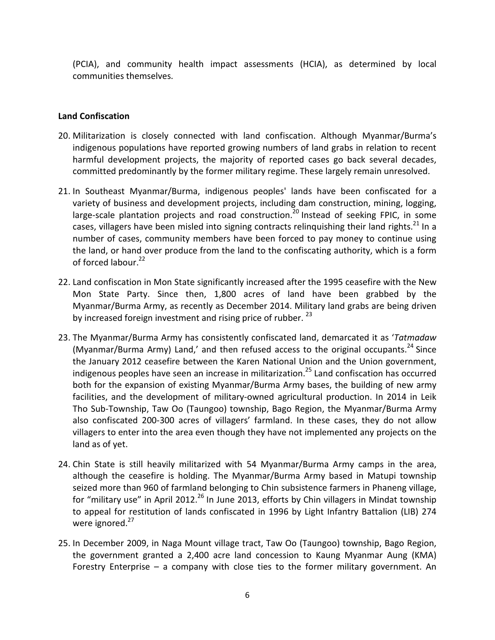(PCIA), and community health impact assessments (HCIA), as determined by local communities themselves.

### **Land Confiscation**

- 20. Militarization is closely connected with land confiscation. Although Myanmar/Burma's indigenous populations have reported growing numbers of land grabs in relation to recent harmful development projects, the majority of reported cases go back several decades, committed predominantly by the former military regime. These largely remain unresolved.
- 21. In Southeast Myanmar/Burma, indigenous peoples' lands have been confiscated for a variety of business and development projects, including dam construction, mining, logging, large-scale plantation projects and road construction.<sup>20</sup> Instead of seeking FPIC, in some cases, villagers have been misled into signing contracts relinquishing their land rights.<sup>21</sup> In a number of cases, community members have been forced to pay money to continue using the land, or hand over produce from the land to the confiscating authority, which is a form of forced labour.<sup>22</sup>
- 22. Land confiscation in Mon State significantly increased after the 1995 ceasefire with the New Mon State Party. Since then, 1,800 acres of land have been grabbed by the Myanmar/Burma Army, as recently as December 2014. Military land grabs are being driven by increased foreign investment and rising price of rubber.  $^{23}$
- 23. The Myanmar/Burma Army has consistently confiscated land, demarcated it as '*Tatmadaw* (Myanmar/Burma Army) Land,' and then refused access to the original occupants.<sup>24</sup> Since the January 2012 ceasefire between the Karen National Union and the Union government, indigenous peoples have seen an increase in militarization.<sup>25</sup> Land confiscation has occurred both for the expansion of existing Myanmar/Burma Army bases, the building of new army facilities, and the development of military-owned agricultural production. In 2014 in Leik Tho Sub-Township, Taw Oo (Taungoo) township, Bago Region, the Myanmar/Burma Army also confiscated 200-300 acres of villagers' farmland. In these cases, they do not allow villagers to enter into the area even though they have not implemented any projects on the land as of yet.
- 24. Chin State is still heavily militarized with 54 Myanmar/Burma Army camps in the area, although the ceasefire is holding. The Myanmar/Burma Army based in Matupi township seized more than 960 of farmland belonging to Chin subsistence farmers in Phaneng village, for "military use" in April 2012.<sup>26</sup> In June 2013, efforts by Chin villagers in Mindat township to appeal for restitution of lands confiscated in 1996 by Light Infantry Battalion (LIB) 274 were ignored.<sup>27</sup>
- 25. In December 2009, in Naga Mount village tract, Taw Oo (Taungoo) township, Bago Region, the government granted a 2,400 acre land concession to Kaung Myanmar Aung (KMA) Forestry Enterprise – a company with close ties to the former military government. An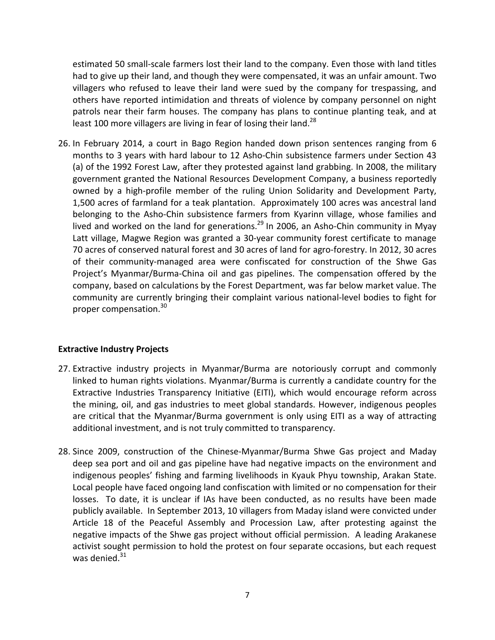estimated 50 small-scale farmers lost their land to the company. Even those with land titles had to give up their land, and though they were compensated, it was an unfair amount. Two villagers who refused to leave their land were sued by the company for trespassing, and others have reported intimidation and threats of violence by company personnel on night patrols near their farm houses. The company has plans to continue planting teak, and at least 100 more villagers are living in fear of losing their land. $^{28}$ 

26. In February 2014, a court in Bago Region handed down prison sentences ranging from 6 months to 3 years with hard labour to 12 Asho-Chin subsistence farmers under Section 43 (a) of the 1992 Forest Law, after they protested against land grabbing. In 2008, the military government granted the National Resources Development Company, a business reportedly owned by a high-profile member of the ruling Union Solidarity and Development Party, 1,500 acres of farmland for a teak plantation. Approximately 100 acres was ancestral land belonging to the Asho-Chin subsistence farmers from Kyarinn village, whose families and lived and worked on the land for generations.<sup>29</sup> In 2006, an Asho-Chin community in Myay Latt village, Magwe Region was granted a 30-year community forest certificate to manage 70 acres of conserved natural forest and 30 acres of land for agro-forestry. In 2012, 30 acres of their community-managed area were confiscated for construction of the Shwe Gas Project's Myanmar/Burma-China oil and gas pipelines. The compensation offered by the company, based on calculations by the Forest Department, was far below market value. The community are currently bringing their complaint various national-level bodies to fight for proper compensation.<sup>30</sup>

#### **Extractive Industry Projects**

- 27. Extractive industry projects in Myanmar/Burma are notoriously corrupt and commonly linked to human rights violations. Myanmar/Burma is currently a candidate country for the Extractive Industries Transparency Initiative (EITI), which would encourage reform across the mining, oil, and gas industries to meet global standards. However, indigenous peoples are critical that the Myanmar/Burma government is only using EITI as a way of attracting additional investment, and is not truly committed to transparency.
- 28. Since 2009, construction of the Chinese-Myanmar/Burma Shwe Gas project and Maday deep sea port and oil and gas pipeline have had negative impacts on the environment and indigenous peoples' fishing and farming livelihoods in Kyauk Phyu township, Arakan State. Local people have faced ongoing land confiscation with limited or no compensation for their losses. To date, it is unclear if IAs have been conducted, as no results have been made publicly available. In September 2013, 10 villagers from Maday island were convicted under Article 18 of the Peaceful Assembly and Procession Law, after protesting against the negative impacts of the Shwe gas project without official permission. A leading Arakanese activist sought permission to hold the protest on four separate occasions, but each request was denied. $31$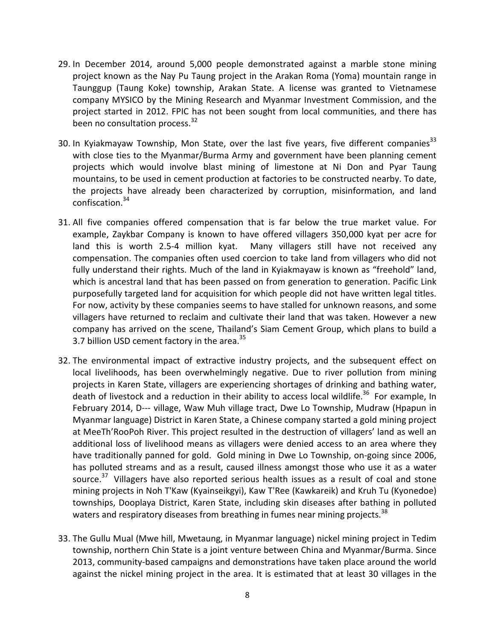- 29. In December 2014, around 5,000 people demonstrated against a marble stone mining project known as the Nay Pu Taung project in the Arakan Roma (Yoma) mountain range in Taunggup (Taung Koke) township, Arakan State. A license was granted to Vietnamese company MYSICO by the Mining Research and Myanmar Investment Commission, and the project started in 2012. FPIC has not been sought from local communities, and there has been no consultation process.<sup>32</sup>
- 30. In Kyiakmayaw Township, Mon State, over the last five years, five different companies<sup>33</sup> with close ties to the Myanmar/Burma Army and government have been planning cement projects which would involve blast mining of limestone at Ni Don and Pyar Taung mountains, to be used in cement production at factories to be constructed nearby. To date, the projects have already been characterized by corruption, misinformation, and land confiscation.<sup>34</sup>
- 31. All five companies offered compensation that is far below the true market value. For example, Zaykbar Company is known to have offered villagers 350,000 kyat per acre for land this is worth 2.5-4 million kyat. Many villagers still have not received any compensation. The companies often used coercion to take land from villagers who did not fully understand their rights. Much of the land in Kyiakmayaw is known as "freehold" land, which is ancestral land that has been passed on from generation to generation. Pacific Link purposefully targeted land for acquisition for which people did not have written legal titles. For now, activity by these companies seems to have stalled for unknown reasons, and some villagers have returned to reclaim and cultivate their land that was taken. However a new company has arrived on the scene, Thailand's Siam Cement Group, which plans to build a 3.7 billion USD cement factory in the area. $^{35}$
- 32. The environmental impact of extractive industry projects, and the subsequent effect on local livelihoods, has been overwhelmingly negative. Due to river pollution from mining projects in Karen State, villagers are experiencing shortages of drinking and bathing water, death of livestock and a reduction in their ability to access local wildlife.<sup>36</sup> For example, In February 2014, D--- village, Waw Muh village tract, Dwe Lo Township, Mudraw (Hpapun in Myanmar language) District in Karen State, a Chinese company started a gold mining project at MeeTh'RooPoh River. This project resulted in the destruction of villagers' land as well an additional loss of livelihood means as villagers were denied access to an area where they have traditionally panned for gold. Gold mining in Dwe Lo Township, on-going since 2006, has polluted streams and as a result, caused illness amongst those who use it as a water source.<sup>37</sup> Villagers have also reported serious health issues as a result of coal and stone mining projects in Noh T'Kaw (Kyainseikgyi), Kaw T'Ree (Kawkareik) and Kruh Tu (Kyonedoe) townships, Dooplaya District, Karen State, including skin diseases after bathing in polluted waters and respiratory diseases from breathing in fumes near mining projects.<sup>38</sup>
- 33. The Gullu Mual (Mwe hill, Mwetaung, in Myanmar language) nickel mining project in Tedim township, northern Chin State is a joint venture between China and Myanmar/Burma. Since 2013, community-based campaigns and demonstrations have taken place around the world against the nickel mining project in the area. It is estimated that at least 30 villages in the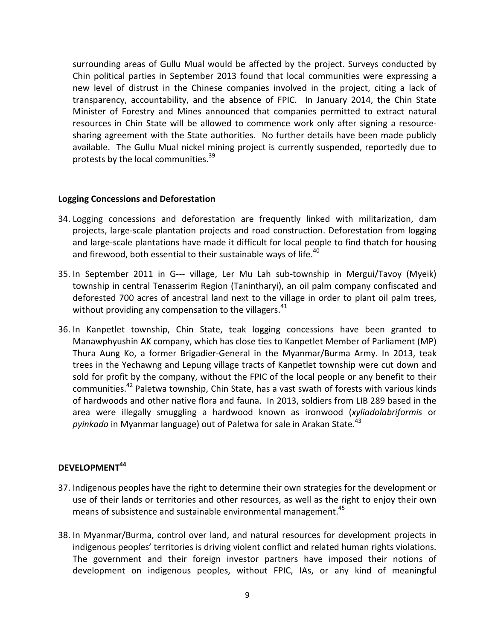surrounding areas of Gullu Mual would be affected by the project. Surveys conducted by Chin political parties in September 2013 found that local communities were expressing a new level of distrust in the Chinese companies involved in the project, citing a lack of transparency, accountability, and the absence of FPIC. In January 2014, the Chin State Minister of Forestry and Mines announced that companies permitted to extract natural resources in Chin State will be allowed to commence work only after signing a resourcesharing agreement with the State authorities. No further details have been made publicly available. The Gullu Mual nickel mining project is currently suspended, reportedly due to protests by the local communities.<sup>39</sup>

#### **Logging Concessions and Deforestation**

- 34. Logging concessions and deforestation are frequently linked with militarization, dam projects, large-scale plantation projects and road construction. Deforestation from logging and large-scale plantations have made it difficult for local people to find thatch for housing and firewood, both essential to their sustainable ways of life.<sup>40</sup>
- 35. In September 2011 in G--- village, Ler Mu Lah sub-township in Mergui/Tavoy (Myeik) township in central Tenasserim Region (Tanintharyi), an oil palm company confiscated and deforested 700 acres of ancestral land next to the village in order to plant oil palm trees, without providing any compensation to the villagers.<sup>41</sup>
- 36. In Kanpetlet township, Chin State, teak logging concessions have been granted to Manawphyushin AK company, which has close ties to Kanpetlet Member of Parliament (MP) Thura Aung Ko, a former Brigadier-General in the Myanmar/Burma Army. In 2013, teak trees in the Yechawng and Lepung village tracts of Kanpetlet township were cut down and sold for profit by the company, without the FPIC of the local people or any benefit to their communities.<sup>42</sup> Paletwa township, Chin State, has a vast swath of forests with various kinds of hardwoods and other native flora and fauna. In 2013, soldiers from LIB 289 based in the area were illegally smuggling a hardwood known as ironwood (*xyliadolabriformis* or *pyinkado* in Myanmar language) out of Paletwa for sale in Arakan State.<sup>43</sup>

### **DEVELOPMENT<sup>44</sup>**

- 37. Indigenous peoples have the right to determine their own strategies for the development or use of their lands or territories and other resources, as well as the right to enjoy their own means of subsistence and sustainable environmental management.<sup>45</sup>
- 38. In Myanmar/Burma, control over land, and natural resources for development projects in indigenous peoples' territories is driving violent conflict and related human rights violations. The government and their foreign investor partners have imposed their notions of development on indigenous peoples, without FPIC, IAs, or any kind of meaningful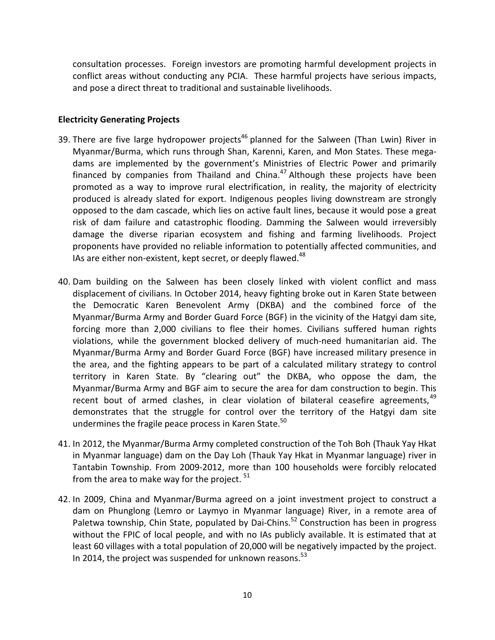consultation processes. Foreign investors are promoting harmful development projects in conflict areas without conducting any PCIA. These harmful projects have serious impacts, and pose a direct threat to traditional and sustainable livelihoods.

### **Electricity Generating Projects**

- 39. There are five large hydropower projects<sup>46</sup> planned for the Salween (Than Lwin) River in Myanmar/Burma, which runs through Shan, Karenni, Karen, and Mon States. These megadams are implemented by the government's Ministries of Electric Power and primarily financed by companies from Thailand and China. $47$  Although these projects have been promoted as a way to improve rural electrification, in reality, the majority of electricity produced is already slated for export. Indigenous peoples living downstream are strongly opposed to the dam cascade, which lies on active fault lines, because it would pose a great risk of dam failure and catastrophic flooding. Damming the Salween would irreversibly damage the diverse riparian ecosystem and fishing and farming livelihoods. Project proponents have provided no reliable information to potentially affected communities, and IAs are either non-existent, kept secret, or deeply flawed. $48$
- 40. Dam building on the Salween has been closely linked with violent conflict and mass displacement of civilians. In October 2014, heavy fighting broke out in Karen State between the Democratic Karen Benevolent Army (DKBA) and the combined force of the Myanmar/Burma Army and Border Guard Force (BGF) in the vicinity of the Hatgyi dam site, forcing more than 2,000 civilians to flee their homes. Civilians suffered human rights violations, while the government blocked delivery of much-need humanitarian aid. The Myanmar/Burma Army and Border Guard Force (BGF) have increased military presence in the area, and the fighting appears to be part of a calculated military strategy to control territory in Karen State. By "clearing out" the DKBA, who oppose the dam, the Myanmar/Burma Army and BGF aim to secure the area for dam construction to begin. This recent bout of armed clashes, in clear violation of bilateral ceasefire agreements,  $49$ demonstrates that the struggle for control over the territory of the Hatgyi dam site undermines the fragile peace process in Karen State.<sup>50</sup>
- 41. In 2012, the Myanmar/Burma Army completed construction of the Toh Boh (Thauk Yay Hkat in Myanmar language) dam on the Day Loh (Thauk Yay Hkat in Myanmar language) river in Tantabin Township. From 2009-2012, more than 100 households were forcibly relocated from the area to make way for the project.  $51$
- 42. In 2009, China and Myanmar/Burma agreed on a joint investment project to construct a dam on Phunglong (Lemro or Laymyo in Myanmar language) River, in a remote area of Paletwa township, Chin State, populated by Dai-Chins.<sup>52</sup> Construction has been in progress without the FPIC of local people, and with no IAs publicly available. It is estimated that at least 60 villages with a total population of 20,000 will be negatively impacted by the project. In 2014, the project was suspended for unknown reasons. $53$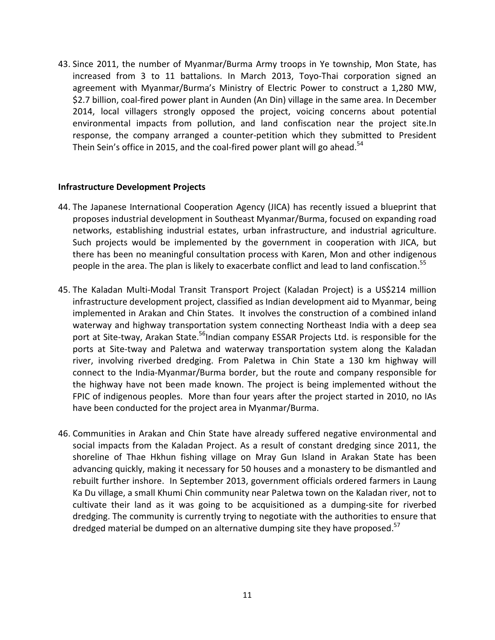43. Since 2011, the number of Myanmar/Burma Army troops in Ye township, Mon State, has increased from 3 to 11 battalions. In March 2013, Toyo-Thai corporation signed an agreement with Myanmar/Burma's Ministry of Electric Power to construct a 1,280 MW, \$2.7 billion, coal-fired power plant in Aunden (An Din) village in the same area. In December 2014, local villagers strongly opposed the project, voicing concerns about potential environmental impacts from pollution, and land confiscation near the project site.In response, the company arranged a counter-petition which they submitted to President Thein Sein's office in 2015, and the coal-fired power plant will go ahead.<sup>54</sup>

#### **Infrastructure Development Projects**

- 44. The Japanese International Cooperation Agency (JICA) has recently issued a blueprint that proposes industrial development in Southeast Myanmar/Burma, focused on expanding road networks, establishing industrial estates, urban infrastructure, and industrial agriculture. Such projects would be implemented by the government in cooperation with JICA, but there has been no meaningful consultation process with Karen, Mon and other indigenous people in the area. The plan is likely to exacerbate conflict and lead to land confiscation.<sup>55</sup>
- 45. The Kaladan Multi-Modal Transit Transport Project (Kaladan Project) is a US\$214 million infrastructure development project, classified as Indian development aid to Myanmar, being implemented in Arakan and Chin States. It involves the construction of a combined inland waterway and highway transportation system connecting Northeast India with a deep sea port at Site-tway, Arakan State.<sup>56</sup>Indian company ESSAR Projects Ltd. is responsible for the ports at Site-tway and Paletwa and waterway transportation system along the Kaladan river, involving riverbed dredging. From Paletwa in Chin State a 130 km highway will connect to the India-Myanmar/Burma border, but the route and company responsible for the highway have not been made known. The project is being implemented without the FPIC of indigenous peoples. More than four years after the project started in 2010, no IAs have been conducted for the project area in Myanmar/Burma.
- 46. Communities in Arakan and Chin State have already suffered negative environmental and social impacts from the Kaladan Project. As a result of constant dredging since 2011, the shoreline of Thae Hkhun fishing village on Mray Gun Island in Arakan State has been advancing quickly, making it necessary for 50 houses and a monastery to be dismantled and rebuilt further inshore. In September 2013, government officials ordered farmers in Laung Ka Du village, a small Khumi Chin community near Paletwa town on the Kaladan river, not to cultivate their land as it was going to be acquisitioned as a dumping-site for riverbed dredging. The community is currently trying to negotiate with the authorities to ensure that dredged material be dumped on an alternative dumping site they have proposed.<sup>57</sup>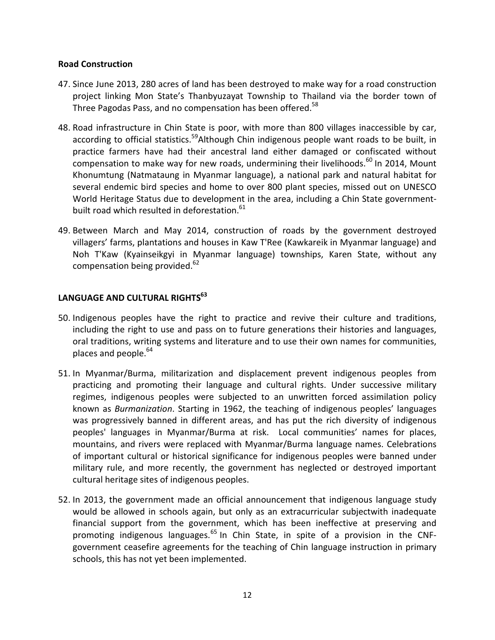### **Road Construction**

- 47. Since June 2013, 280 acres of land has been destroyed to make way for a road construction project linking Mon State's Thanbyuzayat Township to Thailand via the border town of Three Pagodas Pass, and no compensation has been offered.<sup>58</sup>
- 48. Road infrastructure in Chin State is poor, with more than 800 villages inaccessible by car, according to official statistics.<sup>59</sup>Although Chin indigenous people want roads to be built, in practice farmers have had their ancestral land either damaged or confiscated without compensation to make way for new roads, undermining their livelihoods.<sup>60</sup> In 2014, Mount Khonumtung (Natmataung in Myanmar language), a national park and natural habitat for several endemic bird species and home to over 800 plant species, missed out on UNESCO World Heritage Status due to development in the area, including a Chin State governmentbuilt road which resulted in deforestation.<sup>61</sup>
- 49. Between March and May 2014, construction of roads by the government destroyed villagers' farms, plantations and houses in Kaw T'Ree (Kawkareik in Myanmar language) and Noh T'Kaw (Kyainseikgyi in Myanmar language) townships, Karen State, without any compensation being provided.<sup>62</sup>

## **LANGUAGE AND CULTURAL RIGHTS<sup>63</sup>**

- 50. Indigenous peoples have the right to practice and revive their culture and traditions, including the right to use and pass on to future generations their histories and languages, oral traditions, writing systems and literature and to use their own names for communities, places and people. $64$
- 51. In Myanmar/Burma, militarization and displacement prevent indigenous peoples from practicing and promoting their language and cultural rights. Under successive military regimes, indigenous peoples were subjected to an unwritten forced assimilation policy known as *Burmanization*. Starting in 1962, the teaching of indigenous peoples' languages was progressively banned in different areas, and has put the rich diversity of indigenous peoples' languages in Myanmar/Burma at risk. Local communities' names for places, mountains, and rivers were replaced with Myanmar/Burma language names. Celebrations of important cultural or historical significance for indigenous peoples were banned under military rule, and more recently, the government has neglected or destroyed important cultural heritage sites of indigenous peoples.
- 52. In 2013, the government made an official announcement that indigenous language study would be allowed in schools again, but only as an extracurricular subjectwith inadequate financial support from the government, which has been ineffective at preserving and promoting indigenous languages. $65$  In Chin State, in spite of a provision in the CNFgovernment ceasefire agreements for the teaching of Chin language instruction in primary schools, this has not yet been implemented.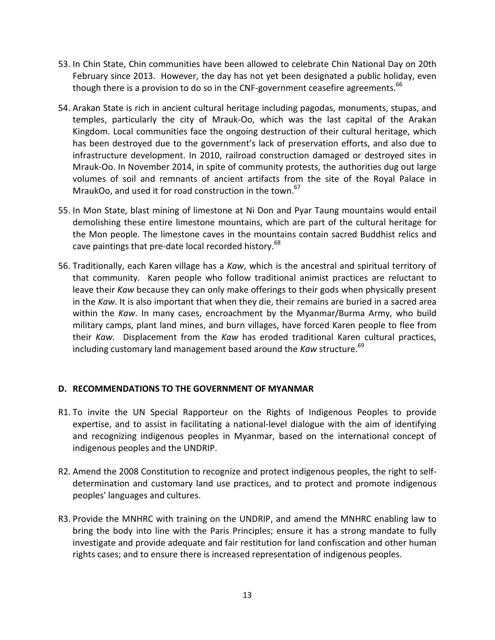- 53. In Chin State, Chin communities have been allowed to celebrate Chin National Day on 20th February since 2013. However, the day has not yet been designated a public holiday, even though there is a provision to do so in the CNF-government ceasefire agreements.<sup>66</sup>
- 54. Arakan State is rich in ancient cultural heritage including pagodas, monuments, stupas, and temples, particularly the city of Mrauk-Oo, which was the last capital of the Arakan Kingdom. Local communities face the ongoing destruction of their cultural heritage, which has been destroyed due to the government's lack of preservation efforts, and also due to infrastructure development. In 2010, railroad construction damaged or destroyed sites in Mrauk-Oo. In November 2014, in spite of community protests, the authorities dug out large volumes of soil and remnants of ancient artifacts from the site of the Royal Palace in MraukOo, and used it for road construction in the town.<sup>67</sup>
- 55. In Mon State, blast mining of limestone at Ni Don and Pyar Taung mountains would entail demolishing these entire limestone mountains, which are part of the cultural heritage for the Mon people. The limestone caves in the mountains contain sacred Buddhist relics and cave paintings that pre-date local recorded history.<sup>68</sup>
- 56. Traditionally, each Karen village has a *Kaw*, which is the ancestral and spiritual territory of that community. Karen people who follow traditional animist practices are reluctant to leave their *Kaw* because they can only make offerings to their gods when physically present in the *Kaw*. It is also important that when they die, their remains are buried in a sacred area within the *Kaw*. In many cases, encroachment by the Myanmar/Burma Army, who build military camps, plant land mines, and burn villages, have forced Karen people to flee from their *Kaw*. Displacement from the *Kaw* has eroded traditional Karen cultural practices, including customary land management based around the *Kaw* structure.<sup>69</sup>

### **D. RECOMMENDATIONS TO THE GOVERNMENT OF MYANMAR**

- R1. To invite the UN Special Rapporteur on the Rights of Indigenous Peoples to provide expertise, and to assist in facilitating a national-level dialogue with the aim of identifying and recognizing indigenous peoples in Myanmar, based on the international concept of indigenous peoples and the UNDRIP.
- R2. Amend the 2008 Constitution to recognize and protect indigenous peoples, the right to selfdetermination and customary land use practices, and to protect and promote indigenous peoples' languages and cultures.
- R3. Provide the MNHRC with training on the UNDRIP, and amend the MNHRC enabling law to bring the body into line with the Paris Principles; ensure it has a strong mandate to fully investigate and provide adequate and fair restitution for land confiscation and other human rights cases; and to ensure there is increased representation of indigenous peoples.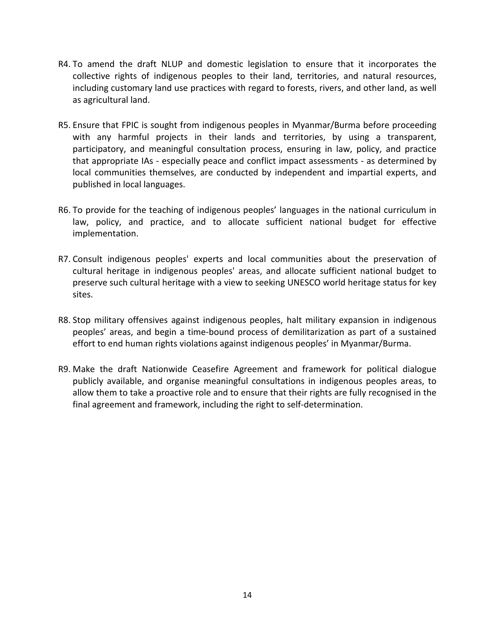- R4. To amend the draft NLUP and domestic legislation to ensure that it incorporates the collective rights of indigenous peoples to their land, territories, and natural resources, including customary land use practices with regard to forests, rivers, and other land, as well as agricultural land.
- R5. Ensure that FPIC is sought from indigenous peoples in Myanmar/Burma before proceeding with any harmful projects in their lands and territories, by using a transparent, participatory, and meaningful consultation process, ensuring in law, policy, and practice that appropriate IAs - especially peace and conflict impact assessments - as determined by local communities themselves, are conducted by independent and impartial experts, and published in local languages.
- R6. To provide for the teaching of indigenous peoples' languages in the national curriculum in law, policy, and practice, and to allocate sufficient national budget for effective implementation.
- R7. Consult indigenous peoples' experts and local communities about the preservation of cultural heritage in indigenous peoples' areas, and allocate sufficient national budget to preserve such cultural heritage with a view to seeking UNESCO world heritage status for key sites.
- R8. Stop military offensives against indigenous peoples, halt military expansion in indigenous peoples' areas, and begin a time-bound process of demilitarization as part of a sustained effort to end human rights violations against indigenous peoples' in Myanmar/Burma.
- R9. Make the draft Nationwide Ceasefire Agreement and framework for political dialogue publicly available, and organise meaningful consultations in indigenous peoples areas, to allow them to take a proactive role and to ensure that their rights are fully recognised in the final agreement and framework, including the right to self-determination.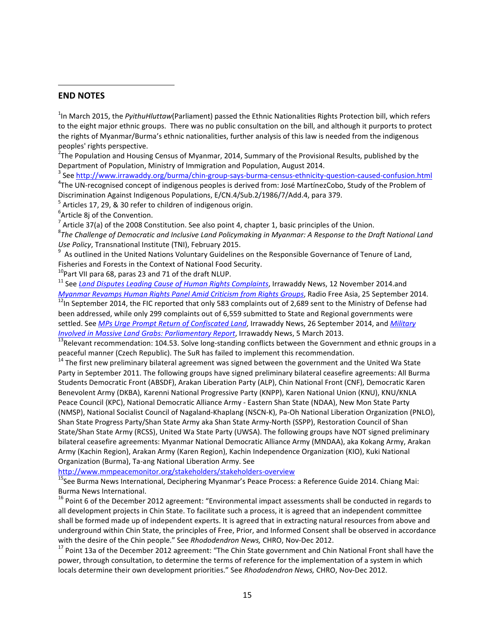#### **END NOTES**

-

<sup>1</sup>In March 2015, the *PyithuHluttaw*(Parliament) passed the Ethnic Nationalities Rights Protection bill, which refers to the eight major ethnic groups. There was no public consultation on the bill, and although it purports to protect the rights of Myanmar/Burma's ethnic nationalities, further analysis of this law is needed from the indigenous peoples' rights perspective.

 $2$ The Population and Housing Census of Myanmar, 2014, Summary of the Provisional Results, published by the Department of Population, Ministry of Immigration and Population, August 2014.

<sup>3</sup> See http://www.irrawaddy.org/burma/chin-group-says-burma-census-ethnicity-question-caused-confusion.html <sup>4</sup>The UN-recognised concept of indigenous peoples is derived from: José MartínezCobo, Study of the Problem of Discrimination Against Indigenous Populations, E/CN.4/Sub.2/1986/7/Add.4, para 379.

<sup>5</sup> Articles 17, 29, & 30 refer to children of indigenous origin.

<sup>6</sup>Article 8j of the Convention.

<sup>7</sup> Article 37(a) of the 2008 Constitution. See also point 4, chapter 1, basic principles of the Union.

8 *The Challenge of Democratic and Inclusive Land Policymaking in Myanmar: A Response to the Draft National Land Use Policy*, Transnational Institute (TNI), February 2015.

<sup>9</sup> As outlined in the United Nations Voluntary Guidelines on the Responsible Governance of Tenure of Land, Fisheries and Forests in the Context of National Food Security.

<sup>10</sup>Part VII para 68, paras 23 and 71 of the draft NLUP.

<sup>11</sup> See *Land Disputes Leading Cause of Human Rights Complaints*, Irrawaddy News, 12 November 2014.and *Myanmar Revamps Human Rights Panel Amid Criticism from Rights Groups*, Radio Free Asia, 25 September 2014. <sup>12</sup>In September 2014, the FIC reported that only 583 complaints out of 2,689 sent to the Ministry of Defense had been addressed, while only 299 complaints out of 6,559 submitted to State and Regional governments were settled. See *MPs Urge Prompt Return of Confiscated Land*, Irrawaddy News, 26 September 2014, and *Military Involved in Massive Land Grabs: Parliamentary Report*, Irrawaddy News, 5 March 2013.

<sup>13</sup>Relevant recommendation: 104.53. Solve long-standing conflicts between the Government and ethnic groups in a peaceful manner (Czech Republic). The SuR has failed to implement this recommendation.

<sup>14</sup> The first new preliminary bilateral agreement was signed between the government and the United Wa State Party in September 2011. The following groups have signed preliminary bilateral ceasefire agreements: All Burma Students Democratic Front (ABSDF), Arakan Liberation Party (ALP), Chin National Front (CNF), Democratic Karen Benevolent Army (DKBA), Karenni National Progressive Party (KNPP), Karen National Union (KNU), KNU/KNLA Peace Council (KPC), National Democratic Alliance Army - Eastern Shan State (NDAA), New Mon State Party (NMSP), National Socialist Council of Nagaland-Khaplang (NSCN-K), Pa-Oh National Liberation Organization (PNLO), Shan State Progress Party/Shan State Army aka Shan State Army-North (SSPP), Restoration Council of Shan State/Shan State Army (RCSS), United Wa State Party (UWSA). The following groups have NOT signed preliminary bilateral ceasefire agreements: Myanmar National Democratic Alliance Army (MNDAA), aka Kokang Army, Arakan Army (Kachin Region), Arakan Army (Karen Region), Kachin Independence Organization (KIO), Kuki National Organization (Burma), Ta-ang National Liberation Army. See

http://www.mmpeacemonitor.org/stakeholders/stakeholders-overview

<sup>15</sup>See Burma News International, Deciphering Myanmar's Peace Process: a Reference Guide 2014. Chiang Mai: Burma News International.

<sup>16</sup> Point 6 of the December 2012 agreement: "Environmental impact assessments shall be conducted in regards to all development projects in Chin State. To facilitate such a process, it is agreed that an independent committee shall be formed made up of independent experts. It is agreed that in extracting natural resources from above and underground within Chin State, the principles of Free, Prior, and Informed Consent shall be observed in accordance with the desire of the Chin people." See *Rhododendron News,* CHRO, Nov-Dec 2012.

<sup>17</sup> Point 13a of the December 2012 agreement: "The Chin State government and Chin National Front shall have the power, through consultation, to determine the terms of reference for the implementation of a system in which locals determine their own development priorities." See *Rhododendron News,* CHRO, Nov-Dec 2012.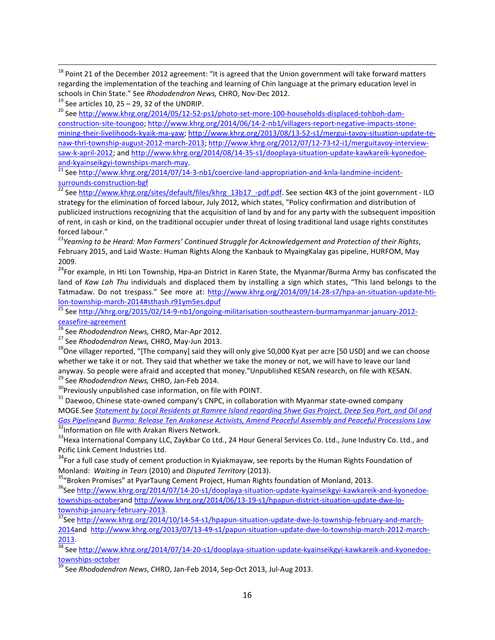<sup>18</sup> Point 21 of the December 2012 agreement: "It is agreed that the Union government will take forward matters regarding the implementation of the teaching and learning of Chin language at the primary education level in schools in Chin State." See *Rhododendron News,* CHRO, Nov-Dec 2012.

 $19$  See articles 10, 25 – 29, 32 of the UNDRIP.

-

<sup>20</sup> See http://www.khrg.org/2014/05/12-52-ps1/photo-set-more-100-households-displaced-tohboh-damconstruction-site-toungoo; http://www.khrg.org/2014/06/14-2-nb1/villagers-report-negative-impacts-stonemining-their-livelihoods-kyaik-ma-yaw; http://www.khrg.org/2013/08/13-52-s1/mergui-tavoy-situation-update-tenaw-thri-township-august-2012-march-2013; http://www.khrg.org/2012/07/12-73-t2-i1/merguitavoy-interviewsaw-k-april-2012; and http://www.khrg.org/2014/08/14-35-s1/dooplaya-situation-update-kawkareik-kyonedoeand-kyainseikgyi-townships-march-may.

 $21$  See http://www.khrg.org/2014/07/14-3-nb1/coercive-land-appropriation-and-knla-landmine-incidentsurrounds-construction-bgf

<sup>22</sup> See http://www.khrg.org/sites/default/files/khrg\_13b17\_-pdf.pdf. See section 4K3 of the joint government - ILO strategy for the elimination of forced labour, July 2012, which states, "Policy confirmation and distribution of publicized instructions recognizing that the acquisition of land by and for any party with the subsequent imposition of rent, in cash or kind, on the traditional occupier under threat of losing traditional land usage rights constitutes forced labour."

<sup>23</sup>*Yearning to be Heard: Mon Farmers' Continued Struggle for Acknowledgement and Protection of their Rights*, February 2015, and Laid Waste: Human Rights Along the Kanbauk to MyaingKalay gas pipeline, HURFOM, May 2009.

<sup>24</sup>For example, in Hti Lon Township, Hpa-an District in Karen State, the Myanmar/Burma Army has confiscated the land of *Kaw Lah Thu* individuals and displaced them by installing a sign which states, "This land belongs to the Tatmadaw. Do not trespass." See more at: http://www.khrg.org/2014/09/14-28-s7/hpa-an-situation-update-htilon-township-march-2014#sthash.r91ym5es.dpuf

<sup>25</sup> See http://khrg.org/2015/02/14-9-nb1/ongoing-militarisation-southeastern-burmamyanmar-january-2012ceasefire-agreement

<sup>27</sup> See *Rhododendron News,* CHRO, May-Jun 2013.

<sup>28</sup>One villager reported, "[The company] said they will only give 50,000 Kyat per acre [50 USD] and we can choose whether we take it or not. They said that whether we take the money or not, we will have to leave our land anyway. So people were afraid and accepted that money."Unpublished KESAN research, on file with KESAN.

<sup>29</sup> See *Rhododendron News,* CHRO, Jan-Feb 2014.

<sup>30</sup>Previously unpublished case information, on file with POINT.

<sup>31</sup> Daewoo, Chinese state-owned company's CNPC, in collaboration with Myanmar state-owned company

MOGE.See *Statement by Local Residents at Ramree Island regarding Shwe Gas Project, Deep Sea Port, and Oil and Gas Pipeline*and *Burma: Release Ten Arakanese Activists, Amend Peaceful Assembly and Peaceful Processions Law* <sup>32</sup>Information on file with Arakan Rivers Network.

<sup>33</sup>Hexa International Company LLC, Zaykbar Co Ltd., 24 Hour General Services Co. Ltd., June Industry Co. Ltd., and Pcific Link Cement Industries Ltd.

 $34$ For a full case study of cement production in Kyiakmayaw, see reports by the Human Rights Foundation of Monland: *Waiting in Tears* (2010) and *Disputed Territory* (2013).

<sup>35</sup>"Broken Promises" at PyarTaung Cement Project, Human Rights foundation of Monland, 2013.

<sup>36</sup>See http://www.khrg.org/2014/07/14-20-s1/dooplaya-situation-update-kyainseikgyi-kawkareik-and-kyonedoetownships-octoberand http://www.khrg.org/2014/06/13-19-s1/hpapun-district-situation-update-dwe-lotownship-january-february-2013.

<sup>37</sup>See http://www.khrg.org/2014/10/14-54-s1/hpapun-situation-update-dwe-lo-township-february-and-march-2014and http://www.khrg.org/2013/07/13-49-s1/papun-situation-update-dwe-lo-township-march-2012-march-2013.

<sup>38</sup> See http://www.khrg.org/2014/07/14-20-s1/dooplaya-situation-update-kyainseikgyi-kawkareik-and-kyonedoetownships-october

<sup>39</sup> See *Rhododendron News*, CHRO, Jan-Feb 2014, Sep-Oct 2013, Jul-Aug 2013.

<sup>26</sup> See *Rhododendron News,* CHRO, Mar-Apr 2012.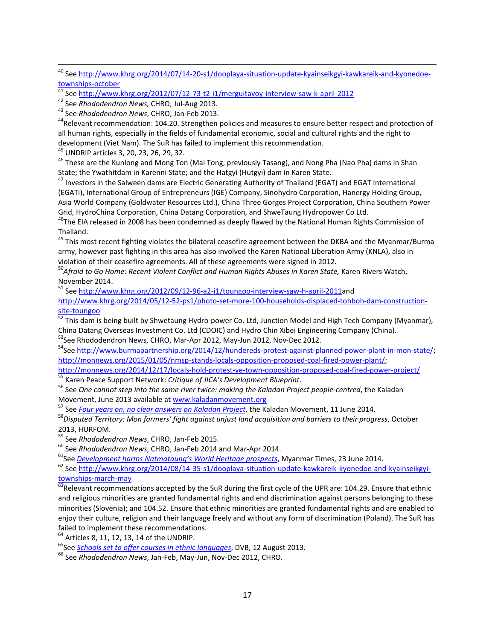<sup>44</sup>Relevant recommendation: 104.20. Strengthen policies and measures to ensure better respect and protection of all human rights, especially in the fields of fundamental economic, social and cultural rights and the right to development (Viet Nam). The SuR has failed to implement this recommendation.

<sup>45</sup> UNDRIP articles 3, 20, 23, 26, 29, 32.

-

<sup>46</sup> These are the Kunlong and Mong Ton (Mai Tong, previously Tasang), and Nong Pha (Nao Pha) dams in Shan State; the Ywathitdam in Karenni State; and the Hatgyi (Hutgyi) dam in Karen State.

<sup>47</sup> Investors in the Salween dams are Electric Generating Authority of Thailand (EGAT) and EGAT International (EGATi), International Group of Entrepreneurs (IGE) Company, Sinohydro Corporation, Hanergy Holding Group, Asia World Company (Goldwater Resources Ltd.), China Three Gorges Project Corporation, China Southern Power Grid, HydroChina Corporation, China Datang Corporation, and ShweTaung Hydropower Co Ltd.

<sup>48</sup>The EIA released in 2008 has been condemned as deeply flawed by the National Human Rights Commission of Thailand.

<sup>49</sup> This most recent fighting violates the bilateral ceasefire agreement between the DKBA and the Myanmar/Burma army, however past fighting in this area has also involved the Karen National Liberation Army (KNLA), also in violation of their ceasefire agreements. All of these agreements were signed in 2012.

<sup>50</sup>*Afraid to Go Home: Recent Violent Conflict and Human Rights Abuses in Karen State,* Karen Rivers Watch, November 2014.

<sup>51</sup> See http://www.khrg.org/2012/09/12-96-a2-i1/toungoo-interview-saw-h-april-2011and

http://www.khrg.org/2014/05/12-52-ps1/photo-set-more-100-households-displaced-tohboh-dam-constructionsite-toungoo

 $\frac{52}{2}$  This dam is being built by Shwetaung Hydro-power Co. Ltd, Junction Model and High Tech Company (Myanmar), China Datang Overseas Investment Co. Ltd (CDOIC) and Hydro Chin Xibei Engineering Company (China).

53See Rhododendron News, CHRO, Mar-Apr 2012, May-Jun 2012, Nov-Dec 2012.

<sup>54</sup>See http://www.burmapartnership.org/2014/12/hundereds-protest-against-planned-power-plant-in-mon-state/; http://monnews.org/2015/01/05/nmsp-stands-locals-opposition-proposed-coal-fired-power-plant/;

http://monnews.org/2014/12/17/locals-hold-protest-ye-town-opposition-proposed-coal-fired-power-project/ <sup>55</sup> Karen Peace Support Network: *Critique of JICA's Development Blueprint*.

<sup>56</sup> See *One cannot step into the same river twice: making the Kaladan Project people-centred*, the Kaladan Movement, June 2013 available at www.kaladanmovement.org

<sup>57</sup> See *Four years on, no clear answers on Kaladan Project*, the Kaladan Movement, 11 June 2014.

<sup>58</sup>*Disputed Territory: Mon farmers' fight against unjust land acquisition and barriers to their progress*, October 2013, HURFOM.

<sup>59</sup> See *Rhododendron News*, CHRO, Jan-Feb 2015.

<sup>60</sup> See *Rhododendron News*, CHRO, Jan-Feb 2014 and Mar-Apr 2014.

<sup>61</sup>See *Development harms Natmataung's World Heritage prospects*, Myanmar Times, 23 June 2014.

<sup>62</sup> See http://www.khrg.org/2014/08/14-35-s1/dooplaya-situation-update-kawkareik-kyonedoe-and-kyainseikgyitownships-march-may

 $\frac{63}{63}$ Relevant recommendations accepted by the SuR during the first cycle of the UPR are: 104.29. Ensure that ethnic and religious minorities are granted fundamental rights and end discrimination against persons belonging to these minorities (Slovenia); and 104.52. Ensure that ethnic minorities are granted fundamental rights and are enabled to enjoy their culture, religion and their language freely and without any form of discrimination (Poland). The SuR has failed to implement these recommendations.

<sup>64</sup> Articles 8, 11, 12, 13, 14 of the UNDRIP.

<sup>65</sup>See *Schools set to offer courses in ethnic languages*, DVB, 12 August 2013.

<sup>66</sup> See *Rhododendron News*, Jan-Feb, May-Jun, Nov-Dec 2012, CHRO.

<sup>&</sup>lt;sup>40</sup> See http://www.khrg.org/2014/07/14-20-s1/dooplaya-situation-update-kyainseikgyi-kawkareik-and-kyonedoetownships-october

<sup>&</sup>lt;sup>41</sup> See http://www.khrg.org/2012/07/12-73-t2-i1/merguitavoy-interview-saw-k-april-2012

<sup>42</sup> See *Rhododendron News,* CHRO, Jul-Aug 2013.

<sup>43</sup> See *Rhododendron News*, CHRO, Jan-Feb 2013.